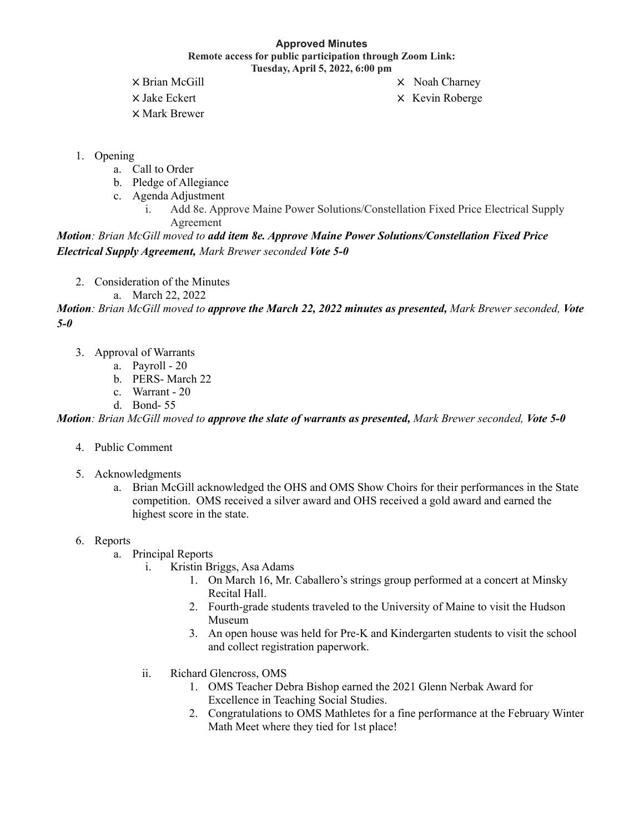## **Approved Minutes Remote access for public participation through Zoom Link: Tuesday, April 5, 2022, 6:00 pm**

X Brian McGill X Noah Charney X Mark Brewer

X Jake Eckert X Kevin Roberge

- 1. Opening
	- a. Call to Order
	- b. Pledge of Allegiance
	- c. Agenda Adjustment
		- i. Add 8e. Approve Maine Power Solutions/Constellation Fixed Price Electrical Supply Agreement

*Motion: Brian McGill moved to add item 8e. Approve Maine Power Solutions/Constellation Fixed Price Electrical Supply Agreement, Mark Brewer seconded Vote 5-0*

- 2. Consideration of the Minutes
	- a. March 22, 2022

Motion: Brian McGill moved to approve the March 22, 2022 minutes as presented, Mark Brewer seconded, Vote *5-0*

- 3. Approval of Warrants
	- a. Payroll 20
	- b. PERS- March 22
	- c. Warrant 20
	- d. Bond- 55

Motion: Brian McGill moved to approve the slate of warrants as presented, Mark Brewer seconded, Vote 5-0

- 4. Public Comment
- 5. Acknowledgments
	- a. Brian McGill acknowledged the OHS and OMS Show Choirs for their performances in the State competition. OMS received a silver award and OHS received a gold award and earned the highest score in the state.
- 6. Reports
	- a. Principal Reports
		- i. Kristin Briggs, Asa Adams
			- 1. On March 16, Mr. Caballero's strings group performed at a concert at Minsky Recital Hall.
			- 2. Fourth-grade students traveled to the University of Maine to visit the Hudson Museum
			- 3. An open house was held for Pre-K and Kindergarten students to visit the school and collect registration paperwork.
		- ii. Richard Glencross, OMS
			- 1. OMS Teacher Debra Bishop earned the 2021 Glenn Nerbak Award for Excellence in Teaching Social Studies.
			- 2. Congratulations to OMS Mathletes for a fine performance at the February Winter Math Meet where they tied for 1st place!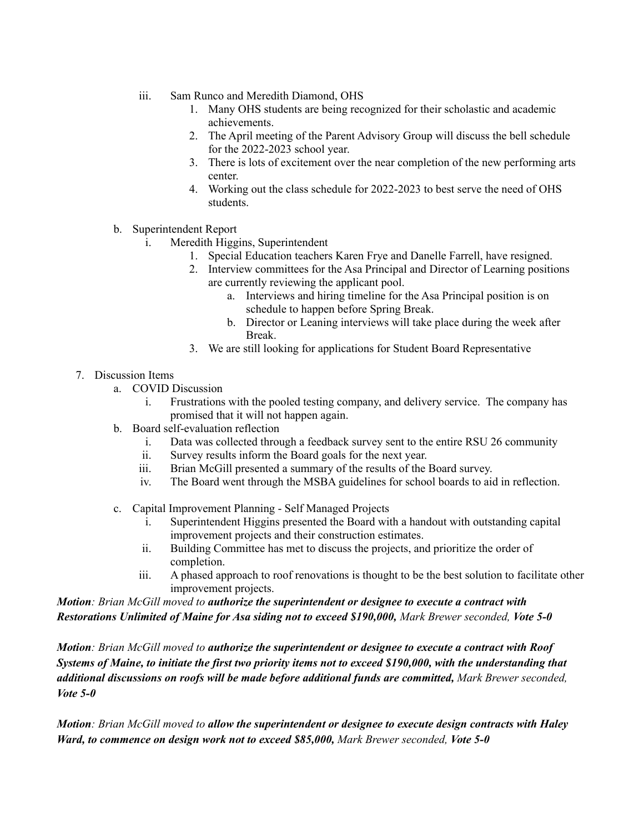- iii. Sam Runco and Meredith Diamond, OHS
	- 1. Many OHS students are being recognized for their scholastic and academic achievements.
	- 2. The April meeting of the Parent Advisory Group will discuss the bell schedule for the 2022-2023 school year.
	- 3. There is lots of excitement over the near completion of the new performing arts center.
	- 4. Working out the class schedule for 2022-2023 to best serve the need of OHS students.
- b. Superintendent Report
	- i. Meredith Higgins, Superintendent
		- 1. Special Education teachers Karen Frye and Danelle Farrell, have resigned.
		- 2. Interview committees for the Asa Principal and Director of Learning positions are currently reviewing the applicant pool.
			- a. Interviews and hiring timeline for the Asa Principal position is on schedule to happen before Spring Break.
			- b. Director or Leaning interviews will take place during the week after Break.
		- 3. We are still looking for applications for Student Board Representative

## 7. Discussion Items

- a. COVID Discussion
	- i. Frustrations with the pooled testing company, and delivery service. The company has promised that it will not happen again.
- b. Board self-evaluation reflection
	- i. Data was collected through a feedback survey sent to the entire RSU 26 community
	- ii. Survey results inform the Board goals for the next year.
	- iii. Brian McGill presented a summary of the results of the Board survey.
	- iv. The Board went through the MSBA guidelines for school boards to aid in reflection.
- c. Capital Improvement Planning Self Managed Projects
	- i. Superintendent Higgins presented the Board with a handout with outstanding capital improvement projects and their construction estimates.
	- ii. Building Committee has met to discuss the projects, and prioritize the order of completion.
	- iii. A phased approach to roof renovations is thought to be the best solution to facilitate other improvement projects.

*Motion: Brian McGill moved to authorize the superintendent or designee to execute a contract with Restorations Unlimited of Maine for Asa siding not to exceed \$190,000, Mark Brewer seconded, Vote 5-0*

*Motion: Brian McGill moved to authorize the superintendent or designee to execute a contract with Roof* Systems of Maine, to initiate the first two priority items not to exceed \$190,000, with the understanding that *additional discussions on roofs will be made before additional funds are committed, Mark Brewer seconded, Vote 5-0*

*Motion: Brian McGill moved to allow the superintendent or designee to execute design contracts with Haley Ward, to commence on design work not to exceed \$85,000, Mark Brewer seconded, Vote 5-0*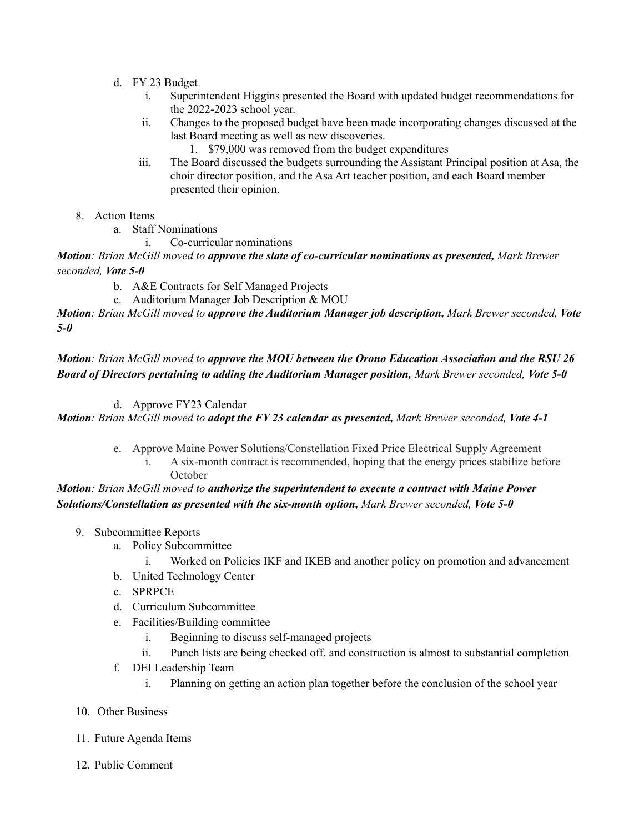- d. FY 23 Budget
	- i. Superintendent Higgins presented the Board with updated budget recommendations for the 2022-2023 school year.
	- ii. Changes to the proposed budget have been made incorporating changes discussed at the last Board meeting as well as new discoveries.
		- 1. \$79,000 was removed from the budget expenditures
	- iii. The Board discussed the budgets surrounding the Assistant Principal position at Asa, the choir director position, and the Asa Art teacher position, and each Board member presented their opinion.
- 8. Action Items
	- a. Staff Nominations
		- i. Co-curricular nominations

*Motion: Brian McGill moved to approve the slate of co-curricular nominations as presented, Mark Brewer seconded, Vote 5-0*

- b. A&E Contracts for Self Managed Projects
- c. Auditorium Manager Job Description & MOU

*Motion: Brian McGill moved to approve the Auditorium Manager job description, Mark Brewer seconded, Vote 5-0*

Motion: Brian McGill moved to approve the MOU between the Orono Education Association and the RSU 26 *Board of Directors pertaining to adding the Auditorium Manager position, Mark Brewer seconded, Vote 5-0*

## d. Approve FY23 Calendar

Motion: Brian McGill moved to adopt the FY 23 calendar as presented, Mark Brewer seconded, Vote 4-1

- e. Approve Maine Power Solutions/Constellation Fixed Price Electrical Supply Agreement
	- i. A six-month contract is recommended, hoping that the energy prices stabilize before **October**

## *Motion: Brian McGill moved to authorize the superintendent to execute a contract with Maine Power Solutions/Constellation as presented with the six-month option, Mark Brewer seconded, Vote 5-0*

- 9. Subcommittee Reports
	- a. Policy Subcommittee
		- i. Worked on Policies IKF and IKEB and another policy on promotion and advancement
	- b. United Technology Center
	- c. SPRPCE
	- d. Curriculum Subcommittee
	- e. Facilities/Building committee
		- i. Beginning to discuss self-managed projects
		- ii. Punch lists are being checked off, and construction is almost to substantial completion
	- f. DEI Leadership Team
		- i. Planning on getting an action plan together before the conclusion of the school year
- 10. Other Business
- 11. Future Agenda Items
- 12. Public Comment